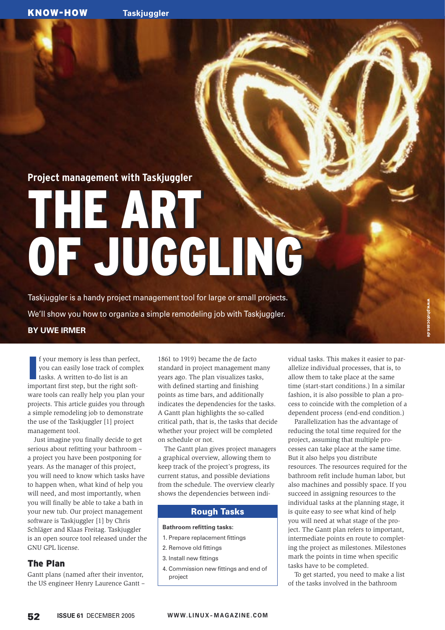# **Project management with Taskjuggler**

# THE ART THE ART OF JUGGLING OF JUGGLING

Taskjuggler is a handy project management tool for large or small projects. We'll show you how to organize a simple remodeling job with Taskjuggler.

## **BY UWE IRMER**

**I**<br>I<br>I<br>I f your memory is less than perfect, you can easily lose track of complex tasks. A written to-do list is an important first step, but the right software tools can really help you plan your projects. This article guides you through a simple remodeling job to demonstrate the use of the Taskjuggler [1] project management tool.

Just imagine you finally decide to get serious about refitting your bathroom – a project you have been postponing for years. As the manager of this project, you will need to know which tasks have to happen when, what kind of help you will need, and most importantly, when you will finally be able to take a bath in your new tub. Our project management software is Taskjuggler [1] by Chris Schläger and Klaas Freitag. Taskjuggler is an open source tool released under the GNU GPL license.

## The Plan

Gantt plans (named after their inventor, the US engineer Henry Laurence Gantt –

1861 to 1919) became the de facto standard in project management many years ago. The plan visualizes tasks, with defined starting and finishing points as time bars, and additionally indicates the dependencies for the tasks. A Gantt plan highlights the so-called critical path, that is, the tasks that decide whether your project will be completed on schedule or not.

The Gantt plan gives project managers a graphical overview, allowing them to keep track of the project's progress, its current status, and possible deviations from the schedule. The overview clearly shows the dependencies between indi-

## Rough Tasks

## **Bathroom refitting tasks:**

- 1. Prepare replacement fittings
- 2. Remove old fittings
- 3. Install new fittings
- 4. Commission new fittings and end of project

vidual tasks. This makes it easier to parallelize individual processes, that is, to allow them to take place at the same time (start-start conditions.) In a similar fashion, it is also possible to plan a process to coincide with the completion of a dependent process (end-end condition.)

Parallelization has the advantage of reducing the total time required for the project, assuming that multiple processes can take place at the same time. But it also helps you distribute resources. The resources required for the bathroom refit include human labor, but also machines and possibly space. If you succeed in assigning resources to the individual tasks at the planning stage, it is quite easy to see what kind of help you will need at what stage of the project. The Gantt plan refers to important, intermediate points en route to completing the project as milestones. Milestones mark the points in time when specific tasks have to be completed.

To get started, you need to make a list of the tasks involved in the bathroom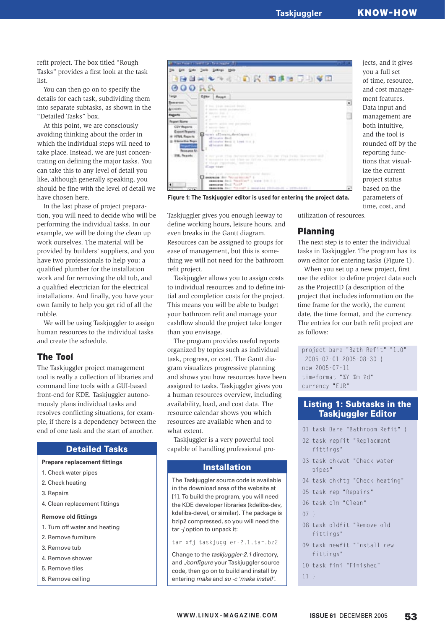## **Taskjuggler** KNOW-HOW

refit project. The box titled "Rough Tasks" provides a first look at the task list.

You can then go on to specify the details for each task, subdividing them into separate subtasks, as shown in the "Detailed Tasks" box.

At this point, we are consciously avoiding thinking about the order in which the individual steps will need to take place. Instead, we are just concentrating on defining the major tasks. You can take this to any level of detail you like, although generally speaking, you should be fine with the level of detail we have chosen here.

In the last phase of project preparation, you will need to decide who will be performing the individual tasks. In our example, we will be doing the clean up work ourselves. The material will be provided by builders' suppliers, and you have two professionals to help you: a qualified plumber for the installation work and for removing the old tub, and a qualified electrician for the electrical installations. And finally, you have your own family to help you get rid of all the rubble.

We will be using Taskjuggler to assign human resources to the individual tasks and create the schedule.

## The Tool

The Taskjuggler project management tool is really a collection of libraries and command line tools with a GUI-based front-end for KDE. Taskjuggler autonomously plans individual tasks and resolves conflicting situations, for example, if there is a dependency between the end of one task and the start of another.

## Detailed Tasks

#### **Prepare replacement fittings**

- 1. Check water pipes
- 2. Check heating
- 3. Repairs
- 4. Clean replacement fittings

#### **Remove old fittings**

- 1. Turn off water and heating
- 2. Remove furniture
- 3. Remove tub
- 4. Remove shower
- 5. Remove tiles
- 6. Remove ceiling



**Figure 1: The Taskjuggler editor is used for entering the project data.**

Taskjuggler gives you enough leeway to define working hours, leisure hours, and even breaks in the Gantt diagram. Resources can be assigned to groups for ease of management, but this is something we will not need for the bathroom refit project.

Taskjuggler allows you to assign costs to individual resources and to define initial and completion costs for the project. This means you will be able to budget your bathroom refit and manage your cashflow should the project take longer than you envisage.

The program provides useful reports organized by topics such as individual task, progress, or cost. The Gantt diagram visualizes progressive planning and shows you how resources have been assigned to tasks. Taskjuggler gives you a human resources overview, including availability, load, and cost data. The resource calendar shows you which resources are available when and to what extent.

Taskjuggler is a very powerful tool capable of handling professional pro-

#### Installation

The Taskjuggler source code is available in the download area of the website at [1]. To build the program, you will need the KDE developer libraries (kdelibs-dev, kdelibs-devel, or similar). The package is bzip2 compressed, so you will need the tar -*j* option to unpack it:

tar xfj taskjuggler-2.1.tar.bz2

Change to the taskjuggler-2.1 directory, and ./configure your Taskjuggler source code, then go on to build and install by entering make and su -c 'make install'.

utilization of resources.

## Planning

The next step is to enter the individual tasks in Taskjuggler. The program has its own editor for entering tasks (Figure 1).

When you set up a new project, first use the editor to define project data such as the ProjectID (a description of the project that includes information on the time frame for the work), the current date, the time format, and the currency. The entries for our bath refit project are as follows:

project bare "Bath Refit" "1.0" 2005-07-01 2005-08-30 { now 2005-07-11 timeformat "%Y-%m-%d" currency "EUR"

## Listing 1: Subtasks in the Taskjuggler Editor

01 task Bare "Bathroom Refit" { 02 task repfit "Replacment fittings" 03 task chkwat "Check water pipes" 04 task chkhtg "Check heating" 05 task rep "Repairs" 06 task cln "Clean"  $07<sup>1</sup>$ 08 task oldfit "Remove old fittings" 09 task newfit "Install new fittings" 10 task fini "Finished"  $11<sup>1</sup>$ 

jects, and it gives you a full set of time, resource, and cost management features. Data input and management are both intuitive, and the tool is rounded off by the reporting functions that visualize the current project status based on the parameters of time, cost, and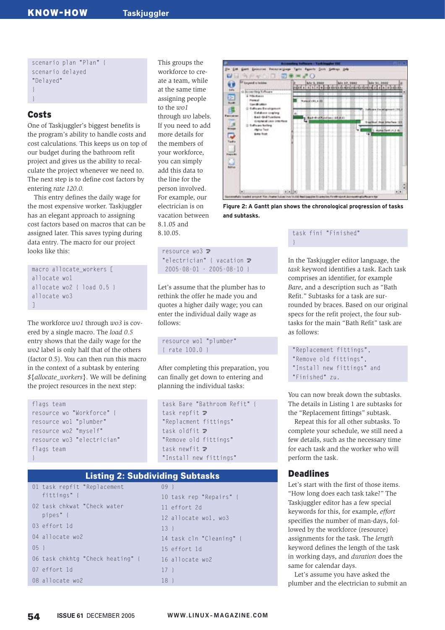scenario plan "Plan" { scenario delayed "Delayed" }

## Costs

}

One of Taskjuggler's biggest benefits is the program's ability to handle costs and cost calculations. This keeps us on top of our budget during the bathroom refit project and gives us the ability to recalculate the project whenever we need to. The next step is to define cost factors by entering *rate 120.0.*

This entry defines the daily wage for the most expensive worker. Taskjuggler has an elegant approach to assigning cost factors based on macros that can be assigned later. This saves typing during data entry. The macro for our project looks like this:

```
macro allocate workers [
allocate wo1
allocate wo2 { load 0.5 }
allocate wo3
]
```
The workforce *wo1* through *wo3* is covered by a single macro. The *load 0.5* entry shows that the daily wage for the *wo2* label is only half that of the others (factor 0.5). You can then run this macro in the context of a subtask by entering *\${allocate\_workers}*. We will be defining the project resources in the next step:

```
flags team
resource wo "Workforce" {
resource wo1 "plumber"
resource wo2 "myself"
resource wo3 "electrician"
flags team
}
```
Listing 2: Subdividing Subtasks

| fittings" {<br>10 task rep "Repairs" {<br>02 task chkwat "Check water<br>11 effort 2d<br>pipes" {<br>12 allocate wo1, wo3<br>03 effort 1d<br>$13 \;$<br>04 allocate wo2<br>14 task cln "Cleaning" {<br>$05 \}$<br>15 effort 1d<br>06 task chkhtg "Check heating" {<br>16 allocate wo2<br>07 effort 1d<br>$17 \;$<br>08 allocate wo?<br>18 } |  | 01 task repfit "Replacement | $09 \;$ |
|---------------------------------------------------------------------------------------------------------------------------------------------------------------------------------------------------------------------------------------------------------------------------------------------------------------------------------------------|--|-----------------------------|---------|
|                                                                                                                                                                                                                                                                                                                                             |  |                             |         |
|                                                                                                                                                                                                                                                                                                                                             |  |                             |         |
|                                                                                                                                                                                                                                                                                                                                             |  |                             |         |
|                                                                                                                                                                                                                                                                                                                                             |  |                             |         |
|                                                                                                                                                                                                                                                                                                                                             |  |                             |         |
|                                                                                                                                                                                                                                                                                                                                             |  |                             |         |
|                                                                                                                                                                                                                                                                                                                                             |  |                             |         |
|                                                                                                                                                                                                                                                                                                                                             |  |                             |         |
|                                                                                                                                                                                                                                                                                                                                             |  |                             |         |

This groups the workforce to create a team, while at the same time assigning people to the *wo1* through *wo* labels. If you need to add more details for the members of your workforce, you can simply add this data to the line for the person involved. For example, our electrician is on vacation between 8.1.05 and 8.10.05.



**Figure 2: A Gantt plan shows the chronological progression of tasks and subtasks.**

#### task fini "Finished" }

resource wo $3 \geq$ "electrician" { vacation  $\mathbf{z}$ 2005-08-01 - 2005-08-10 }

Let's assume that the plumber has to rethink the offer he made you and quotes a higher daily wage; you can enter the individual daily wage as follows:

resource wo1 "plumber" { rate 100.0 }

After completing this preparation, you can finally get down to entering and planning the individual tasks:

```
task Bare "Bathroom Refit" {
task repfit \mathbf{z}"Replacment fittings"
task oldfit \overline{z}"Remove old fittings"
task newfit \mathbf{z}"Install new fittings"
```
*task* keyword identifies a task. Each task comprises an identifier, for example *Bare*, and a description such as "Bath Refit." Subtasks for a task are surrounded by braces. Based on our original specs for the refit project, the four subtasks for the main "Bath Refit" task are as follows:

In the Taskjuggler editor language, the

"Replacement fittings", "Remove old fittings", "Install new fittings" and "Finished" zu.

You can now break down the subtasks. The details in Listing 1 are subtasks for the "Replacement fittings" subtask.

Repeat this for all other subtasks. To complete your schedule, we still need a few details, such as the necessary time for each task and the worker who will perform the task.

## Deadlines

Let's start with the first of those items. "How long does each task take?" The Taskjuggler editor has a few special keywords for this, for example, *effort* specifies the number of man-days, followed by the workforce (resource) assignments for the task. The *length* keyword defines the length of the task in working days, and *duration* does the same for calendar days.

Let's assume you have asked the plumber and the electrician to submit an